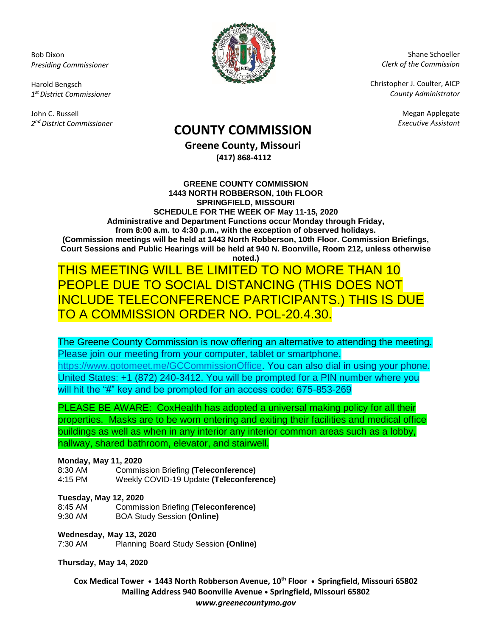Bob Dixon *Presiding Commissioner*

Harold Bengsch *1 st District Commissioner*

John C. Russell *2 nd District Commissioner*



Shane Schoeller *Clerk of the Commission*

Christopher J. Coulter, AICP *County Administrator*

Megan Applegate

# *Executive Assistant* **COUNTY COMMISSION**

**Greene County, Missouri (417) 868-4112**

**GREENE COUNTY COMMISSION 1443 NORTH ROBBERSON, 10th FLOOR SPRINGFIELD, MISSOURI SCHEDULE FOR THE WEEK OF May 11-15, 2020 Administrative and Department Functions occur Monday through Friday, from 8:00 a.m. to 4:30 p.m., with the exception of observed holidays. (Commission meetings will be held at 1443 North Robberson, 10th Floor. Commission Briefings, Court Sessions and Public Hearings will be held at 940 N. Boonville, Room 212, unless otherwise noted.)**

THIS MEETING WILL BE LIMITED TO NO MORE THAN 10 PEOPLE DUE TO SOCIAL DISTANCING (THIS DOES NOT INCLUDE TELECONFERENCE PARTICIPANTS.) THIS IS DUE TO A COMMISSION ORDER NO. POL-20.4.30.

The Greene County Commission is now offering an alternative to attending the meeting. Please join our meeting from your computer, tablet or smartphone. [https://www.gotomeet.me/GCCommissionOffice.](https://www.gotomeet.me/GCCommissionOffice) You can also dial in using your phone. United States: +1 (872) 240-3412. You will be prompted for a PIN number where you will hit the "#" key and be prompted for an access code: 675-853-269

PLEASE BE AWARE: CoxHealth has adopted a universal making policy for all their properties. Masks are to be worn entering and exiting their facilities and medical office buildings as well as when in any interior any interior common areas such as a lobby, hallway, shared bathroom, elevator, and stairwell.

### **Monday, May 11, 2020**

| 8:30 AM | <b>Commission Briefing (Teleconference)</b> |
|---------|---------------------------------------------|
| 4:15 PM | Weekly COVID-19 Update (Teleconference)     |

### **Tuesday, May 12, 2020**

| 8:45 AM | Commission Briefing (Teleconference) |
|---------|--------------------------------------|
| 9:30 AM | <b>BOA Study Session (Online)</b>    |

**Wednesday, May 13, 2020** 7:30 AM Planning Board Study Session **(Online)**

**Thursday, May 14, 2020**

**Cox Medical Tower • 1443 North Robberson Avenue, 10th Floor • Springfield, Missouri 65802 Mailing Address 940 Boonville Avenue • Springfield, Missouri 65802** *www.greenecountymo.gov*